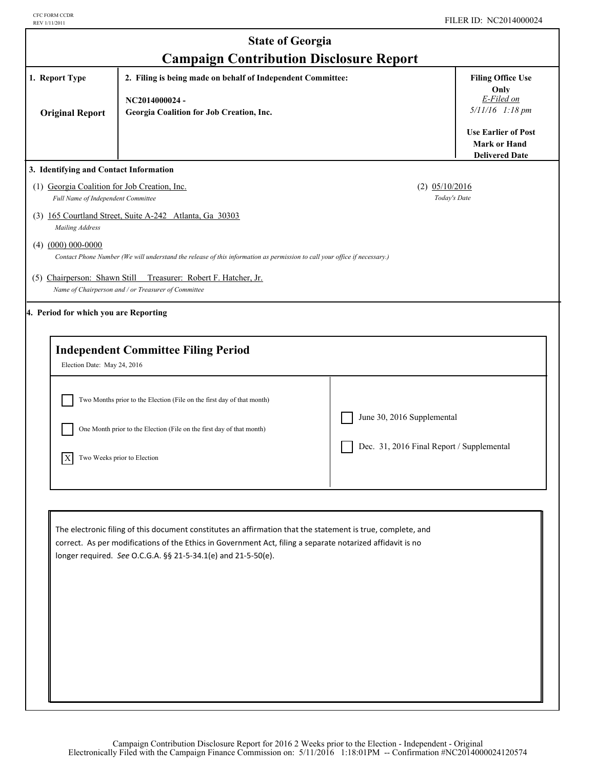| <b>State of Georgia</b>                                                                                                                                                                                                                                                                    |                                                                                                                           |                                           |                                                                            |  |
|--------------------------------------------------------------------------------------------------------------------------------------------------------------------------------------------------------------------------------------------------------------------------------------------|---------------------------------------------------------------------------------------------------------------------------|-------------------------------------------|----------------------------------------------------------------------------|--|
| <b>Campaign Contribution Disclosure Report</b><br>1. Report Type<br>2. Filing is being made on behalf of Independent Committee:<br><b>Filing Office Use</b>                                                                                                                                |                                                                                                                           |                                           |                                                                            |  |
| <b>Original Report</b>                                                                                                                                                                                                                                                                     | NC2014000024-<br>Georgia Coalition for Job Creation, Inc.                                                                 |                                           | Only<br>E-Filed on<br>5/11/16 1:18 pm                                      |  |
|                                                                                                                                                                                                                                                                                            |                                                                                                                           |                                           | <b>Use Earlier of Post</b><br><b>Mark or Hand</b><br><b>Delivered Date</b> |  |
| 3. Identifying and Contact Information                                                                                                                                                                                                                                                     |                                                                                                                           |                                           |                                                                            |  |
| (1) Georgia Coalition for Job Creation, Inc.<br>Full Name of Independent Committee                                                                                                                                                                                                         |                                                                                                                           | $(2)$ 05/10/2016<br>Today's Date          |                                                                            |  |
| Mailing Address                                                                                                                                                                                                                                                                            | (3) 165 Courtland Street, Suite A-242 Atlanta, Ga 30303                                                                   |                                           |                                                                            |  |
| $(4)$ $(000)$ 000-0000                                                                                                                                                                                                                                                                     | Contact Phone Number (We will understand the release of this information as permission to call your office if necessary.) |                                           |                                                                            |  |
| (5) Chairperson: Shawn Still                                                                                                                                                                                                                                                               | Treasurer: Robert F. Hatcher, Jr.<br>Name of Chairperson and / or Treasurer of Committee                                  |                                           |                                                                            |  |
| 4. Period for which you are Reporting                                                                                                                                                                                                                                                      |                                                                                                                           |                                           |                                                                            |  |
| Election Date: May 24, 2016                                                                                                                                                                                                                                                                | <b>Independent Committee Filing Period</b>                                                                                |                                           |                                                                            |  |
|                                                                                                                                                                                                                                                                                            | Two Months prior to the Election (File on the first day of that month)                                                    |                                           |                                                                            |  |
|                                                                                                                                                                                                                                                                                            | One Month prior to the Election (File on the first day of that month)                                                     | June 30, 2016 Supplemental                |                                                                            |  |
| X                                                                                                                                                                                                                                                                                          | Two Weeks prior to Election                                                                                               | Dec. 31, 2016 Final Report / Supplemental |                                                                            |  |
|                                                                                                                                                                                                                                                                                            |                                                                                                                           |                                           |                                                                            |  |
| The electronic filing of this document constitutes an affirmation that the statement is true, complete, and<br>correct. As per modifications of the Ethics in Government Act, filing a separate notarized affidavit is no<br>longer required. See O.C.G.A. §§ 21-5-34.1(e) and 21-5-50(e). |                                                                                                                           |                                           |                                                                            |  |
|                                                                                                                                                                                                                                                                                            |                                                                                                                           |                                           |                                                                            |  |
|                                                                                                                                                                                                                                                                                            |                                                                                                                           |                                           |                                                                            |  |
|                                                                                                                                                                                                                                                                                            |                                                                                                                           |                                           |                                                                            |  |
|                                                                                                                                                                                                                                                                                            |                                                                                                                           |                                           |                                                                            |  |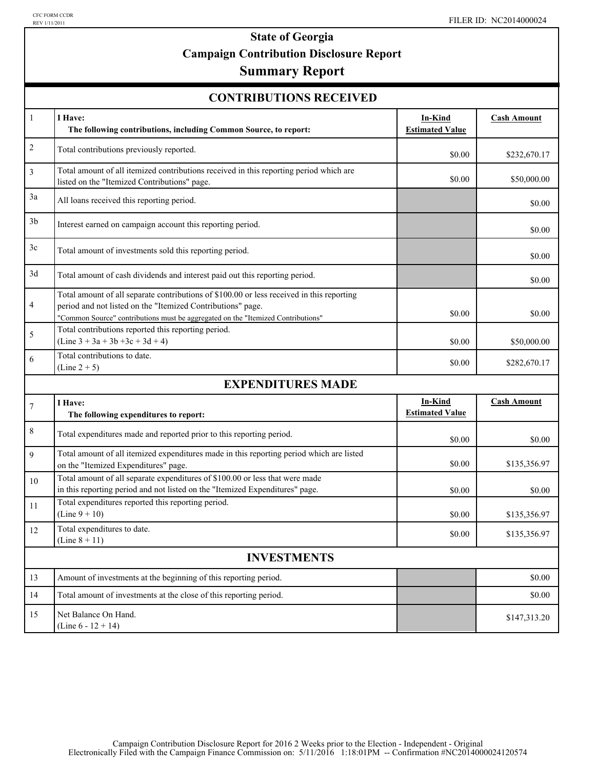## **State of Georgia Campaign Contribution Disclosure Report**

### **Summary Report**

| <b>CONTRIBUTIONS RECEIVED</b> |  |
|-------------------------------|--|
|-------------------------------|--|

| $\mathbf{1}$       | I Have:                                                                                                                                                                                                                                      | <b>In-Kind</b>                    | <b>Cash Amount</b> |
|--------------------|----------------------------------------------------------------------------------------------------------------------------------------------------------------------------------------------------------------------------------------------|-----------------------------------|--------------------|
|                    | The following contributions, including Common Source, to report:                                                                                                                                                                             | <b>Estimated Value</b>            |                    |
| $\overline{c}$     | Total contributions previously reported.                                                                                                                                                                                                     | \$0.00                            | \$232,670.17       |
| 3                  | Total amount of all itemized contributions received in this reporting period which are<br>listed on the "Itemized Contributions" page.                                                                                                       | \$0.00                            | \$50,000.00        |
| 3a                 | All loans received this reporting period.                                                                                                                                                                                                    |                                   | \$0.00             |
| 3 <sub>b</sub>     | Interest earned on campaign account this reporting period.                                                                                                                                                                                   |                                   | \$0.00             |
| 3c                 | Total amount of investments sold this reporting period.                                                                                                                                                                                      |                                   | \$0.00             |
| 3d                 | Total amount of cash dividends and interest paid out this reporting period.                                                                                                                                                                  |                                   | \$0.00             |
| 4                  | Total amount of all separate contributions of \$100.00 or less received in this reporting<br>period and not listed on the "Itemized Contributions" page.<br>"Common Source" contributions must be aggregated on the "Itemized Contributions" | \$0.00                            | \$0.00             |
| 5                  | Total contributions reported this reporting period.<br>$(Line 3 + 3a + 3b + 3c + 3d + 4)$                                                                                                                                                    | \$0.00                            | \$50,000.00        |
| 6                  | Total contributions to date.<br>$(Line 2 + 5)$                                                                                                                                                                                               | \$0.00                            | \$282,670.17       |
|                    | <b>EXPENDITURES MADE</b>                                                                                                                                                                                                                     |                                   |                    |
| $\tau$             | I Have:<br>The following expenditures to report:                                                                                                                                                                                             | In-Kind<br><b>Estimated Value</b> | <b>Cash Amount</b> |
| 8                  | Total expenditures made and reported prior to this reporting period.                                                                                                                                                                         | \$0.00                            | \$0.00             |
| 9                  | Total amount of all itemized expenditures made in this reporting period which are listed<br>on the "Itemized Expenditures" page.                                                                                                             | \$0.00                            | \$135,356.97       |
| 10                 | Total amount of all separate expenditures of \$100.00 or less that were made<br>in this reporting period and not listed on the "Itemized Expenditures" page.                                                                                 | \$0.00                            | \$0.00             |
| 11                 | Total expenditures reported this reporting period.<br>$(Line 9 + 10)$                                                                                                                                                                        | \$0.00                            | \$135,356.97       |
| 12                 | Total expenditures to date.<br>(Line $8 + 11$ )                                                                                                                                                                                              | \$0.00                            | \$135,356.97       |
| <b>INVESTMENTS</b> |                                                                                                                                                                                                                                              |                                   |                    |
| 13                 | Amount of investments at the beginning of this reporting period.                                                                                                                                                                             |                                   | \$0.00             |
| 14                 | Total amount of investments at the close of this reporting period.                                                                                                                                                                           |                                   | \$0.00             |
| 15                 | Net Balance On Hand.<br>(Line $6 - 12 + 14$ )                                                                                                                                                                                                |                                   | \$147,313.20       |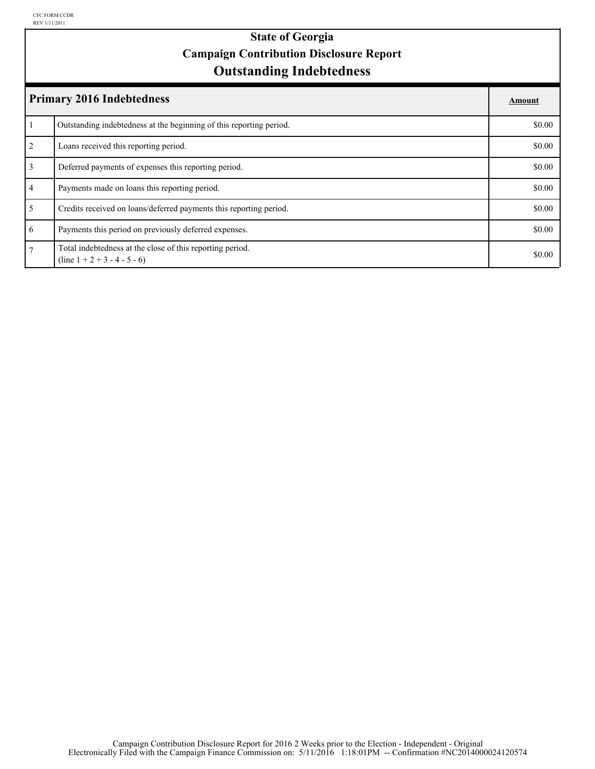### **Outstanding Indebtedness State of Georgia Campaign Contribution Disclosure Report**

| <b>Primary 2016 Indebtedness</b> |                                                                                             | Amount |
|----------------------------------|---------------------------------------------------------------------------------------------|--------|
|                                  | Outstanding indebtedness at the beginning of this reporting period.                         | \$0.00 |
| 2                                | Loans received this reporting period.                                                       | \$0.00 |
| $\overline{3}$                   | Deferred payments of expenses this reporting period.                                        | \$0.00 |
| $\overline{4}$                   | Payments made on loans this reporting period.                                               | \$0.00 |
| 5                                | Credits received on loans/deferred payments this reporting period.                          | \$0.00 |
| 6                                | Payments this period on previously deferred expenses.                                       | \$0.00 |
| $\overline{7}$                   | Total indebtedness at the close of this reporting period.<br>$(line 1 + 2 + 3 - 4 - 5 - 6)$ | \$0.00 |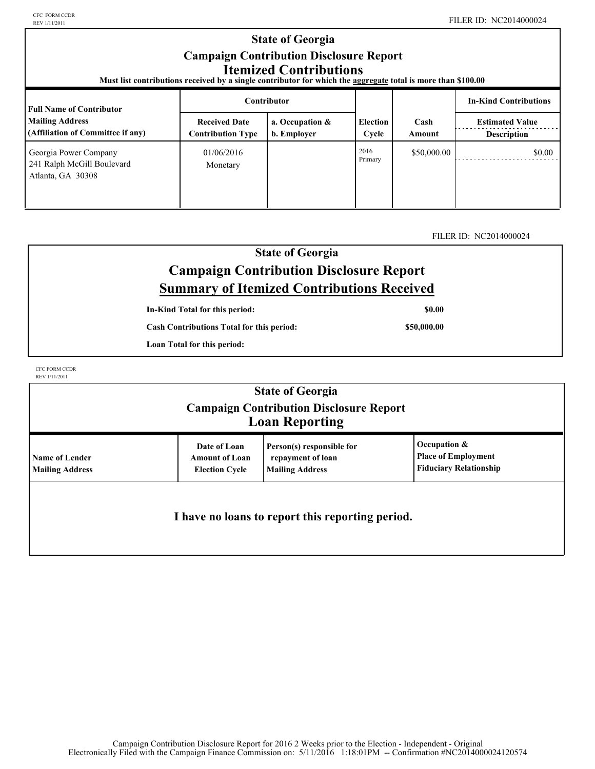#### **Election Cycle Estimated Value Contributor In-Kind Contributions Full Name of Contributor Mailing Address (Affiliation of Committee if any) Received Date Contribution Type a. Occupation & b. Employer** | Cycle | Amount | Description **Cash Amount State of Georgia Campaign Contribution Disclosure Report Itemized Contributions Must list contributions received by a single contributor for which the aggregate total is more than \$100.00**  01/06/2016 Primary \$50,000.00 \$0.00 Monetary Georgia Power Company 241 Ralph McGill Boulevard Atlanta, GA 30308 2016

### FILER ID: NC2014000024

### **State of Georgia Campaign Contribution Disclosure Report Summary of Itemized Contributions Received**

**In-Kind Total for this period:**

**Cash Contributions Total for this period:**

**Loan Total for this period:**

CFC FORM CCDR REV 1/11/2011

|                                          |                                                                | <b>State of Georgia</b><br><b>Campaign Contribution Disclosure Report</b><br><b>Loan Reporting</b> |                                                                             |
|------------------------------------------|----------------------------------------------------------------|----------------------------------------------------------------------------------------------------|-----------------------------------------------------------------------------|
| Name of Lender<br><b>Mailing Address</b> | Date of Loan<br><b>Amount of Loan</b><br><b>Election Cycle</b> | Person(s) responsible for<br>repayment of loan<br><b>Mailing Address</b>                           | Occupation &<br><b>Place of Employment</b><br><b>Fiduciary Relationship</b> |
|                                          |                                                                | I have no loans to report this reporting period.                                                   |                                                                             |

**\$0.00**

**\$50,000.00**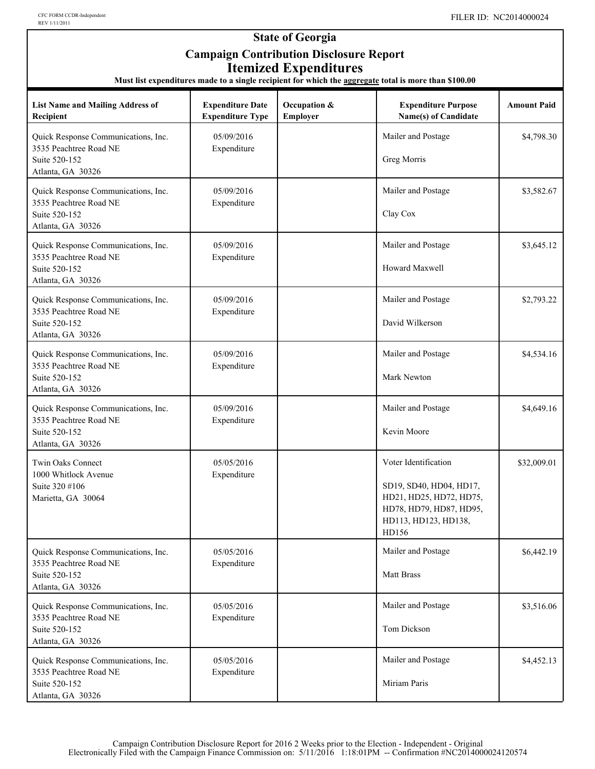### **State of Georgia Campaign Contribution Disclosure Report Itemized Expenditures**

**Must list expenditures made to a single recipient for which the aggregate total is more than \$100.00**

| <b>List Name and Mailing Address of</b><br>Recipient                                                | <b>Expenditure Date</b><br><b>Expenditure Type</b> | Occupation &<br>Employer | <b>Expenditure Purpose</b><br>Name(s) of Candidate                                                                                     | <b>Amount Paid</b> |
|-----------------------------------------------------------------------------------------------------|----------------------------------------------------|--------------------------|----------------------------------------------------------------------------------------------------------------------------------------|--------------------|
| Quick Response Communications, Inc.<br>3535 Peachtree Road NE<br>Suite 520-152<br>Atlanta, GA 30326 | 05/09/2016<br>Expenditure                          |                          | Mailer and Postage<br>Greg Morris                                                                                                      | \$4,798.30         |
| Quick Response Communications, Inc.<br>3535 Peachtree Road NE<br>Suite 520-152<br>Atlanta, GA 30326 | 05/09/2016<br>Expenditure                          |                          | Mailer and Postage<br>Clay Cox                                                                                                         | \$3,582.67         |
| Quick Response Communications, Inc.<br>3535 Peachtree Road NE<br>Suite 520-152<br>Atlanta, GA 30326 | 05/09/2016<br>Expenditure                          |                          | Mailer and Postage<br>Howard Maxwell                                                                                                   | \$3,645.12         |
| Quick Response Communications, Inc.<br>3535 Peachtree Road NE<br>Suite 520-152<br>Atlanta, GA 30326 | 05/09/2016<br>Expenditure                          |                          | Mailer and Postage<br>David Wilkerson                                                                                                  | \$2,793.22         |
| Quick Response Communications, Inc.<br>3535 Peachtree Road NE<br>Suite 520-152<br>Atlanta, GA 30326 | 05/09/2016<br>Expenditure                          |                          | Mailer and Postage<br>Mark Newton                                                                                                      | \$4,534.16         |
| Quick Response Communications, Inc.<br>3535 Peachtree Road NE<br>Suite 520-152<br>Atlanta, GA 30326 | 05/09/2016<br>Expenditure                          |                          | Mailer and Postage<br>Kevin Moore                                                                                                      | \$4,649.16         |
| Twin Oaks Connect<br>1000 Whitlock Avenue<br>Suite 320 #106<br>Marietta, GA 30064                   | 05/05/2016<br>Expenditure                          |                          | Voter Identification<br>SD19, SD40, HD04, HD17,<br>HD21, HD25, HD72, HD75,<br>HD78, HD79, HD87, HD95,<br>HD113, HD123, HD138,<br>HD156 | \$32,009.01        |
| Quick Response Communications, Inc.<br>3535 Peachtree Road NE<br>Suite 520-152<br>Atlanta, GA 30326 | 05/05/2016<br>Expenditure                          |                          | Mailer and Postage<br>Matt Brass                                                                                                       | \$6,442.19         |
| Quick Response Communications, Inc.<br>3535 Peachtree Road NE<br>Suite 520-152<br>Atlanta, GA 30326 | 05/05/2016<br>Expenditure                          |                          | Mailer and Postage<br>Tom Dickson                                                                                                      | \$3,516.06         |
| Quick Response Communications, Inc.<br>3535 Peachtree Road NE<br>Suite 520-152<br>Atlanta, GA 30326 | 05/05/2016<br>Expenditure                          |                          | Mailer and Postage<br>Miriam Paris                                                                                                     | \$4,452.13         |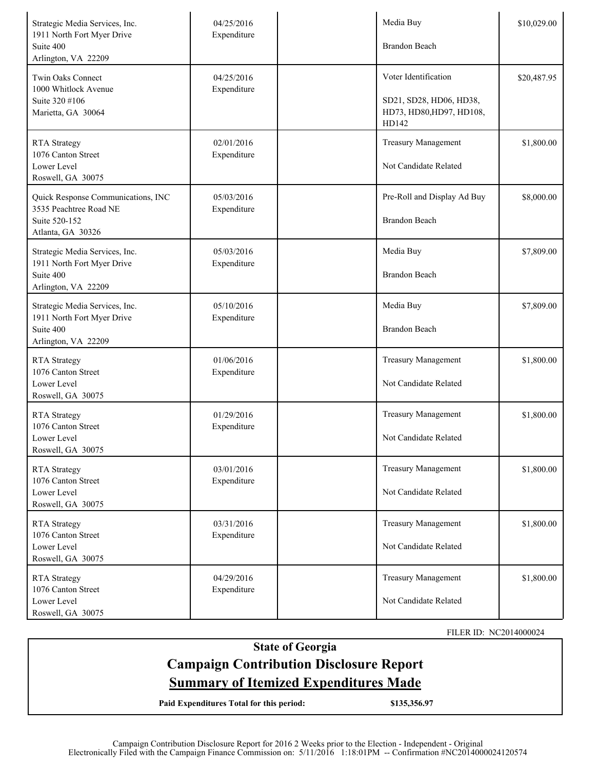| Strategic Media Services, Inc.<br>1911 North Fort Myer Drive<br>Suite 400<br>Arlington, VA 22209   | 04/25/2016<br>Expenditure | Media Buy<br>Brandon Beach                                                           | \$10,029.00 |
|----------------------------------------------------------------------------------------------------|---------------------------|--------------------------------------------------------------------------------------|-------------|
| Twin Oaks Connect<br>1000 Whitlock Avenue<br>Suite 320 #106<br>Marietta, GA 30064                  | 04/25/2016<br>Expenditure | Voter Identification<br>SD21, SD28, HD06, HD38,<br>HD73, HD80, HD97, HD108,<br>HD142 | \$20,487.95 |
| <b>RTA</b> Strategy<br>1076 Canton Street<br>Lower Level<br>Roswell, GA 30075                      | 02/01/2016<br>Expenditure | <b>Treasury Management</b><br>Not Candidate Related                                  | \$1,800.00  |
| Quick Response Communications, INC<br>3535 Peachtree Road NE<br>Suite 520-152<br>Atlanta, GA 30326 | 05/03/2016<br>Expenditure | Pre-Roll and Display Ad Buy<br>Brandon Beach                                         | \$8,000.00  |
| Strategic Media Services, Inc.<br>1911 North Fort Myer Drive<br>Suite 400<br>Arlington, VA 22209   | 05/03/2016<br>Expenditure | Media Buy<br>Brandon Beach                                                           | \$7,809.00  |
| Strategic Media Services, Inc.<br>1911 North Fort Myer Drive<br>Suite 400<br>Arlington, VA 22209   | 05/10/2016<br>Expenditure | Media Buy<br>Brandon Beach                                                           | \$7,809.00  |
| <b>RTA</b> Strategy<br>1076 Canton Street<br>Lower Level<br>Roswell, GA 30075                      | 01/06/2016<br>Expenditure | <b>Treasury Management</b><br>Not Candidate Related                                  | \$1,800.00  |
| <b>RTA</b> Strategy<br>1076 Canton Street<br>Lower Level<br>Roswell, GA 30075                      | 01/29/2016<br>Expenditure | <b>Treasury Management</b><br>Not Candidate Related                                  | \$1,800.00  |
| <b>RTA</b> Strategy<br>1076 Canton Street<br>Lower Level<br>Roswell, GA 30075                      | 03/01/2016<br>Expenditure | <b>Treasury Management</b><br>Not Candidate Related                                  | \$1,800.00  |
| <b>RTA</b> Strategy<br>1076 Canton Street<br>Lower Level<br>Roswell, GA 30075                      | 03/31/2016<br>Expenditure | <b>Treasury Management</b><br>Not Candidate Related                                  | \$1,800.00  |
| <b>RTA</b> Strategy<br>1076 Canton Street<br>Lower Level<br>Roswell, GA 30075                      | 04/29/2016<br>Expenditure | <b>Treasury Management</b><br>Not Candidate Related                                  | \$1,800.00  |

FILER ID: NC2014000024

**State of Georgia**

# **Campaign Contribution Disclosure Report Summary of Itemized Expenditures Made**

**Paid Expenditures Total for this period: \$135,356.97**